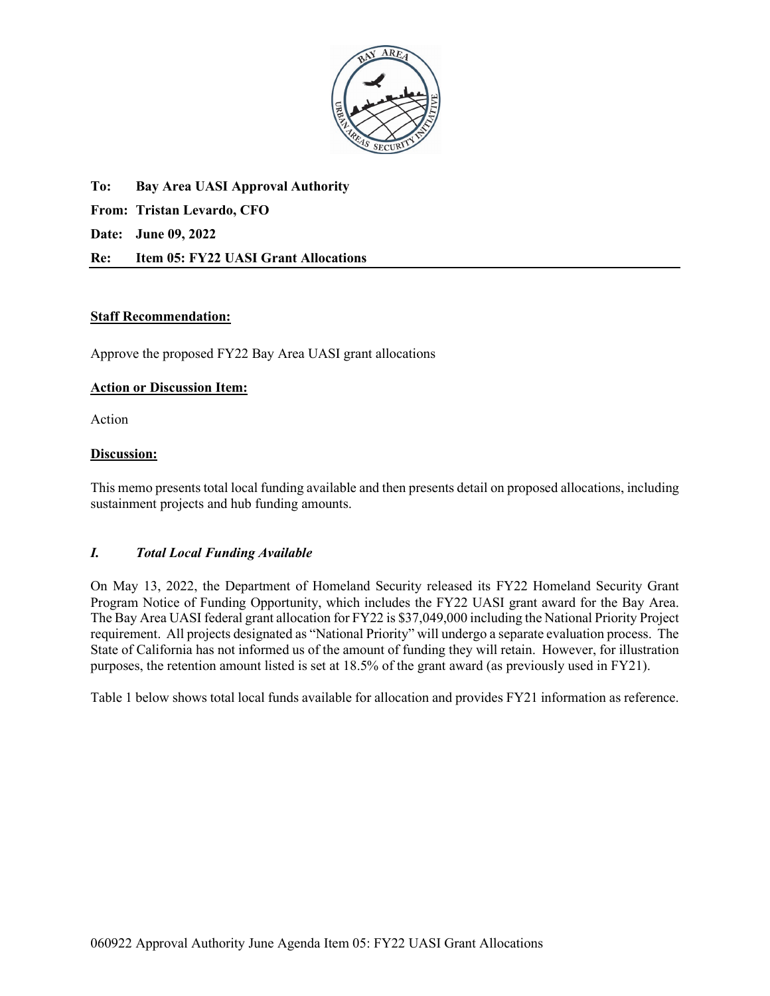

**To: Bay Area UASI Approval Authority From: Tristan Levardo, CFO Date: June 09, 2022 Re: Item 05: FY22 UASI Grant Allocations** 

## **Staff Recommendation:**

Approve the proposed FY22 Bay Area UASI grant allocations

### **Action or Discussion Item:**

Action

## **Discussion:**

This memo presents total local funding available and then presents detail on proposed allocations, including sustainment projects and hub funding amounts.

### *I. Total Local Funding Available*

On May 13, 2022, the Department of Homeland Security released its FY22 Homeland Security Grant Program Notice of Funding Opportunity, which includes the FY22 UASI grant award for the Bay Area. The Bay Area UASI federal grant allocation for FY22 is \$37,049,000 including the National Priority Project requirement. All projects designated as "National Priority" will undergo a separate evaluation process. The State of California has not informed us of the amount of funding they will retain. However, for illustration purposes, the retention amount listed is set at 18.5% of the grant award (as previously used in FY21).

Table 1 below shows total local funds available for allocation and provides FY21 information as reference.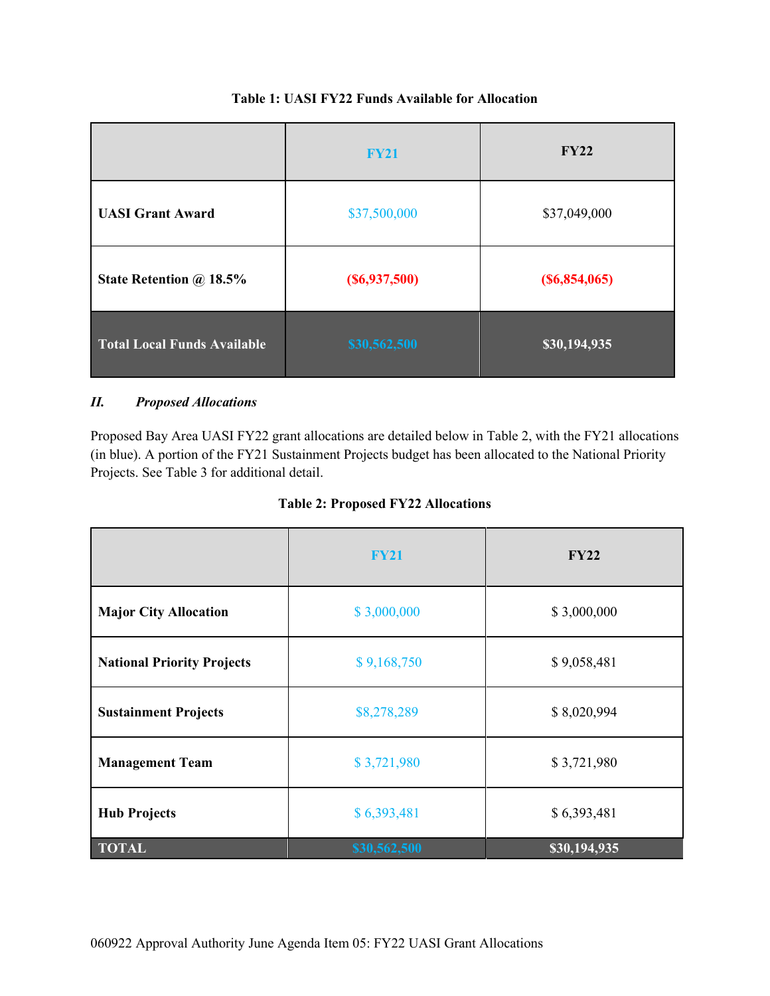|                                    | <b>FY21</b>         | <b>FY22</b>      |
|------------------------------------|---------------------|------------------|
| <b>UASI Grant Award</b>            | \$37,500,000        | \$37,049,000     |
| State Retention @ 18.5%            | $($ \$6,937,500 $)$ | $($ \$6,854,065) |
| <b>Total Local Funds Available</b> | \$30,562,500        | \$30,194,935     |

# **Table 1: UASI FY22 Funds Available for Allocation**

# *II. Proposed Allocations*

Proposed Bay Area UASI FY22 grant allocations are detailed below in Table 2, with the FY21 allocations (in blue). A portion of the FY21 Sustainment Projects budget has been allocated to the National Priority Projects. See Table 3 for additional detail.

| <b>Table 2: Proposed FY22 Allocations</b> |  |  |
|-------------------------------------------|--|--|
|-------------------------------------------|--|--|

|                                   | <b>FY21</b>  | <b>FY22</b>  |
|-----------------------------------|--------------|--------------|
| <b>Major City Allocation</b>      | \$3,000,000  | \$3,000,000  |
| <b>National Priority Projects</b> | \$9,168,750  | \$9,058,481  |
| <b>Sustainment Projects</b>       | \$8,278,289  | \$8,020,994  |
| <b>Management Team</b>            | \$3,721,980  | \$3,721,980  |
| <b>Hub Projects</b>               | \$6,393,481  | \$6,393,481  |
| <b>TOTAL</b>                      | \$30,562,500 | \$30,194,935 |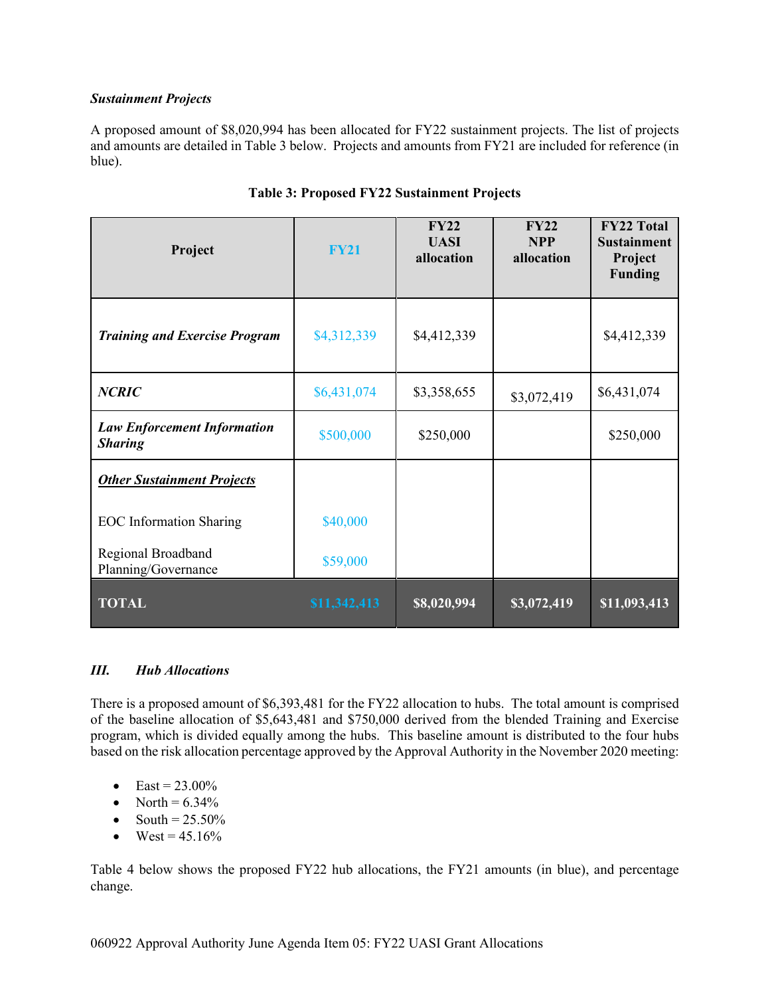## *Sustainment Projects*

A proposed amount of \$8,020,994 has been allocated for FY22 sustainment projects. The list of projects and amounts are detailed in Table 3 below. Projects and amounts from FY21 are included for reference (in blue).

| Project                                              | <b>FY21</b>  | FY22<br><b>UASI</b><br>allocation | FY22<br><b>NPP</b><br>allocation | <b>FY22 Total</b><br><b>Sustainment</b><br>Project<br><b>Funding</b> |
|------------------------------------------------------|--------------|-----------------------------------|----------------------------------|----------------------------------------------------------------------|
| <b>Training and Exercise Program</b>                 | \$4,312,339  | \$4,412,339                       |                                  | \$4,412,339                                                          |
| <b>NCRIC</b>                                         | \$6,431,074  | \$3,358,655                       | \$3,072,419                      | \$6,431,074                                                          |
| <b>Law Enforcement Information</b><br><b>Sharing</b> | \$500,000    | \$250,000                         |                                  | \$250,000                                                            |
| <b>Other Sustainment Projects</b>                    |              |                                   |                                  |                                                                      |
| <b>EOC</b> Information Sharing                       | \$40,000     |                                   |                                  |                                                                      |
| Regional Broadband<br>Planning/Governance            | \$59,000     |                                   |                                  |                                                                      |
| <b>TOTAL</b>                                         | \$11,342,413 | \$8,020,994                       | \$3,072,419                      | \$11,093,413                                                         |

# **Table 3: Proposed FY22 Sustainment Projects**

## *III. Hub Allocations*

There is a proposed amount of \$6,393,481 for the FY22 allocation to hubs. The total amount is comprised of the baseline allocation of \$5,643,481 and \$750,000 derived from the blended Training and Exercise program, which is divided equally among the hubs. This baseline amount is distributed to the four hubs based on the risk allocation percentage approved by the Approval Authority in the November 2020 meeting:

- East =  $23.00\%$
- North  $= 6.34\%$
- South  $= 25.50\%$
- West =  $45.16%$

Table 4 below shows the proposed FY22 hub allocations, the FY21 amounts (in blue), and percentage change.